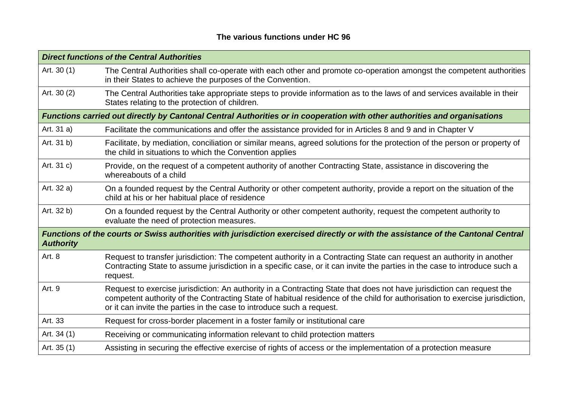## **The various functions under HC 96**

| <b>Direct functions of the Central Authorities</b>                                                                                                   |                                                                                                                                                                                                                                                                                                                               |  |
|------------------------------------------------------------------------------------------------------------------------------------------------------|-------------------------------------------------------------------------------------------------------------------------------------------------------------------------------------------------------------------------------------------------------------------------------------------------------------------------------|--|
| Art. 30 (1)                                                                                                                                          | The Central Authorities shall co-operate with each other and promote co-operation amongst the competent authorities<br>in their States to achieve the purposes of the Convention.                                                                                                                                             |  |
| Art. 30 (2)                                                                                                                                          | The Central Authorities take appropriate steps to provide information as to the laws of and services available in their<br>States relating to the protection of children.                                                                                                                                                     |  |
| Functions carried out directly by Cantonal Central Authorities or in cooperation with other authorities and organisations                            |                                                                                                                                                                                                                                                                                                                               |  |
| Art. 31 a)                                                                                                                                           | Facilitate the communications and offer the assistance provided for in Articles 8 and 9 and in Chapter V                                                                                                                                                                                                                      |  |
| Art. 31 b)                                                                                                                                           | Facilitate, by mediation, conciliation or similar means, agreed solutions for the protection of the person or property of<br>the child in situations to which the Convention applies                                                                                                                                          |  |
| Art. 31 c)                                                                                                                                           | Provide, on the request of a competent authority of another Contracting State, assistance in discovering the<br>whereabouts of a child                                                                                                                                                                                        |  |
| Art. 32 a)                                                                                                                                           | On a founded request by the Central Authority or other competent authority, provide a report on the situation of the<br>child at his or her habitual place of residence                                                                                                                                                       |  |
| Art. 32 b)                                                                                                                                           | On a founded request by the Central Authority or other competent authority, request the competent authority to<br>evaluate the need of protection measures.                                                                                                                                                                   |  |
| Functions of the courts or Swiss authorities with jurisdiction exercised directly or with the assistance of the Cantonal Central<br><b>Authority</b> |                                                                                                                                                                                                                                                                                                                               |  |
| Art. 8                                                                                                                                               | Request to transfer jurisdiction: The competent authority in a Contracting State can request an authority in another<br>Contracting State to assume jurisdiction in a specific case, or it can invite the parties in the case to introduce such a<br>request.                                                                 |  |
| Art. 9                                                                                                                                               | Request to exercise jurisdiction: An authority in a Contracting State that does not have jurisdiction can request the<br>competent authority of the Contracting State of habitual residence of the child for authorisation to exercise jurisdiction,<br>or it can invite the parties in the case to introduce such a request. |  |
| Art. 33                                                                                                                                              | Request for cross-border placement in a foster family or institutional care                                                                                                                                                                                                                                                   |  |
| Art. 34 (1)                                                                                                                                          | Receiving or communicating information relevant to child protection matters                                                                                                                                                                                                                                                   |  |
| Art. 35 (1)                                                                                                                                          | Assisting in securing the effective exercise of rights of access or the implementation of a protection measure                                                                                                                                                                                                                |  |